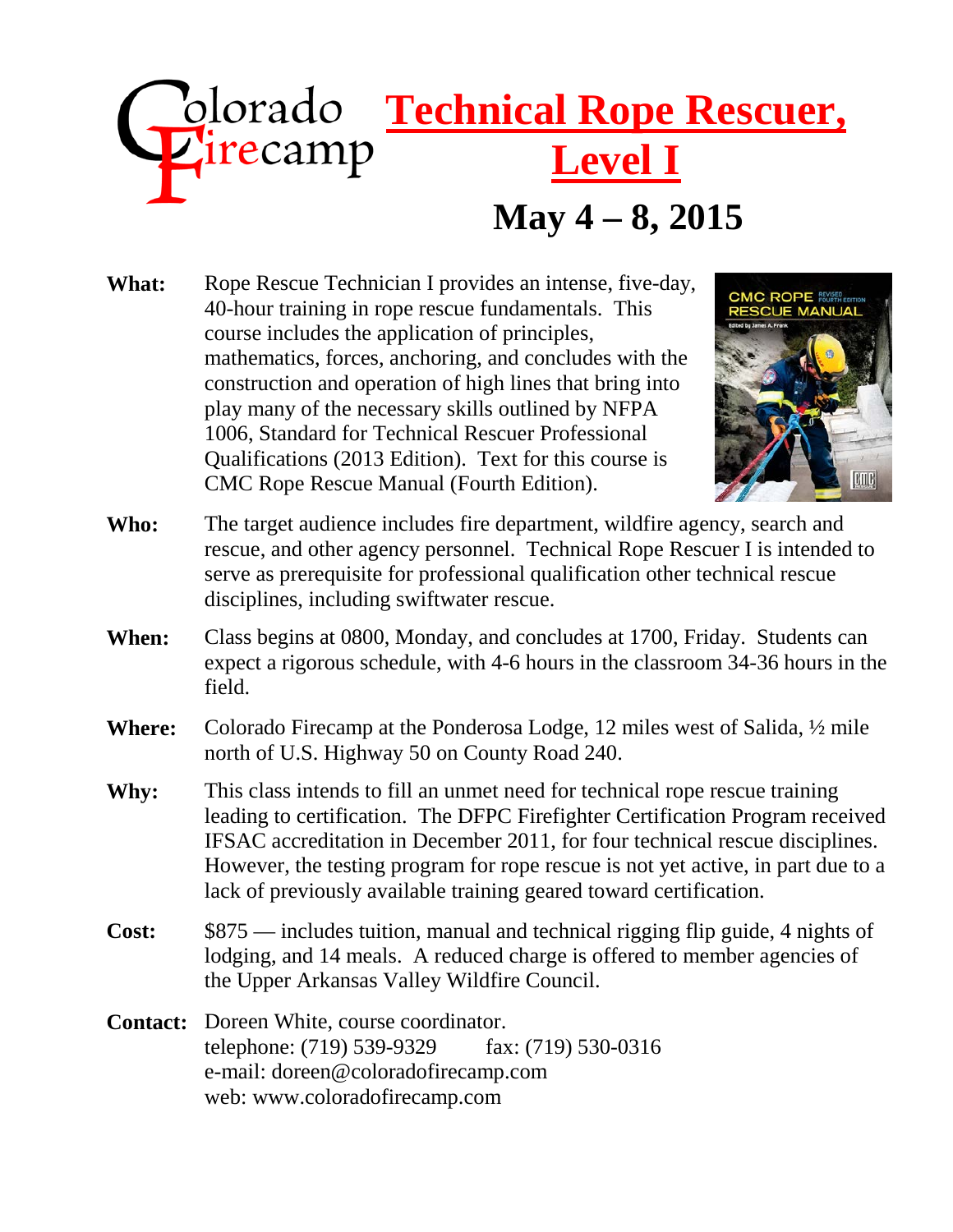# **May 4 – 8, 2015 Zolorado Technical Rope Rescuer,**<br> **Zirecamp Level I Level I**

What: Rope Rescue Technician I provides an intense, five-day, 40-hour training in rope rescue fundamentals. This course includes the application of principles, mathematics, forces, anchoring, and concludes with the construction and operation of high lines that bring into play many of the necessary skills outlined by NFPA 1006, Standard for Technical Rescuer Professional Qualifications (2013 Edition). Text for this course is CMC Rope Rescue Manual (Fourth Edition).



- **Who:** The target audience includes fire department, wildfire agency, search and rescue, and other agency personnel. Technical Rope Rescuer I is intended to serve as prerequisite for professional qualification other technical rescue disciplines, including swiftwater rescue.
- **When:** Class begins at 0800, Monday, and concludes at 1700, Friday. Students can expect a rigorous schedule, with 4-6 hours in the classroom 34-36 hours in the field.
- **Where:** Colorado Firecamp at the Ponderosa Lodge, 12 miles west of Salida, ½ mile north of U.S. Highway 50 on County Road 240.
- **Why:** This class intends to fill an unmet need for technical rope rescue training leading to certification. The DFPC Firefighter Certification Program received IFSAC accreditation in December 2011, for four technical rescue disciplines. However, the testing program for rope rescue is not yet active, in part due to a lack of previously available training geared toward certification.
- **Cost:** \$875 includes tuition, manual and technical rigging flip guide, 4 nights of lodging, and 14 meals. A reduced charge is offered to member agencies of the Upper Arkansas Valley Wildfire Council.
- **Contact:** Doreen White, course coordinator. telephone: (719) 539-9329 fax: (719) 530-0316 e-mail: [doreen@coloradofirecamp.com](mailto:doreen@coloradofirecamp.com) web: www.coloradofirecamp.com